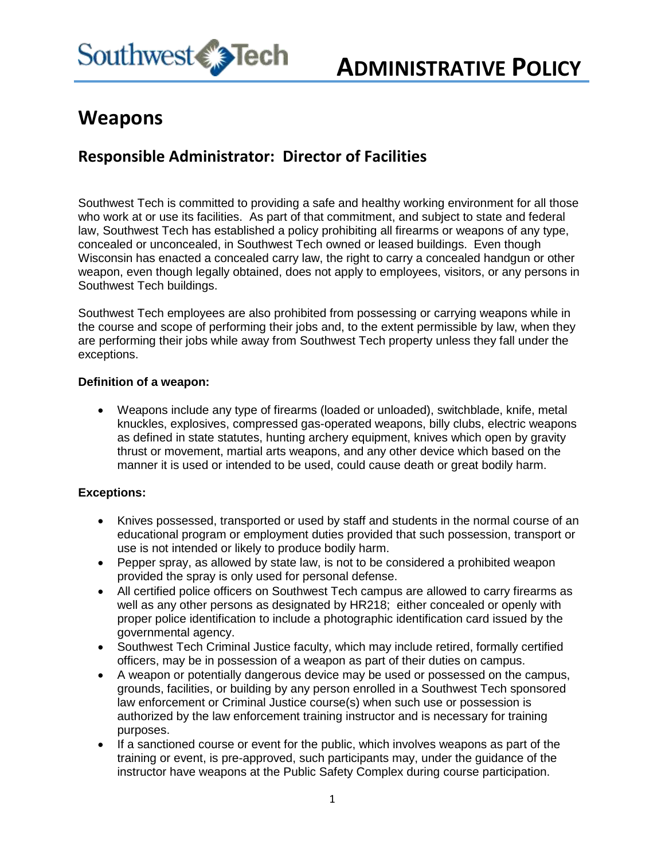

# **Weapons**

## **Responsible Administrator: Director of Facilities**

Southwest Tech is committed to providing a safe and healthy working environment for all those who work at or use its facilities. As part of that commitment, and subject to state and federal law, Southwest Tech has established a policy prohibiting all firearms or weapons of any type, concealed or unconcealed, in Southwest Tech owned or leased buildings. Even though Wisconsin has enacted a concealed carry law, the right to carry a concealed handgun or other weapon, even though legally obtained, does not apply to employees, visitors, or any persons in Southwest Tech buildings.

Southwest Tech employees are also prohibited from possessing or carrying weapons while in the course and scope of performing their jobs and, to the extent permissible by law, when they are performing their jobs while away from Southwest Tech property unless they fall under the exceptions.

#### **Definition of a weapon:**

 Weapons include any type of firearms (loaded or unloaded), switchblade, knife, metal knuckles, explosives, compressed gas-operated weapons, billy clubs, electric weapons as defined in state statutes, hunting archery equipment, knives which open by gravity thrust or movement, martial arts weapons, and any other device which based on the manner it is used or intended to be used, could cause death or great bodily harm.

### **Exceptions:**

- Knives possessed, transported or used by staff and students in the normal course of an educational program or employment duties provided that such possession, transport or use is not intended or likely to produce bodily harm.
- Pepper spray, as allowed by state law, is not to be considered a prohibited weapon provided the spray is only used for personal defense.
- All certified police officers on Southwest Tech campus are allowed to carry firearms as well as any other persons as designated by HR218; either concealed or openly with proper police identification to include a photographic identification card issued by the governmental agency.
- Southwest Tech Criminal Justice faculty, which may include retired, formally certified officers, may be in possession of a weapon as part of their duties on campus.
- A weapon or potentially dangerous device may be used or possessed on the campus, grounds, facilities, or building by any person enrolled in a Southwest Tech sponsored law enforcement or Criminal Justice course(s) when such use or possession is authorized by the law enforcement training instructor and is necessary for training purposes.
- If a sanctioned course or event for the public, which involves weapons as part of the training or event, is pre-approved, such participants may, under the guidance of the instructor have weapons at the Public Safety Complex during course participation.